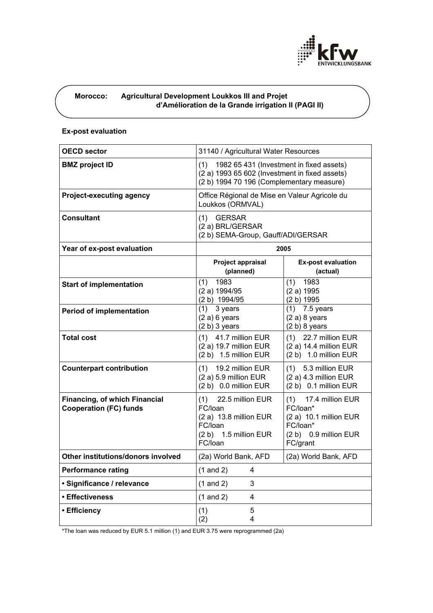

# **Morocco: Agricultural Development Loukkos III and Projet d'Amélioration de la Grande irrigation II (PAGI II)**

## **Ex-post evaluation**

| <b>OECD sector</b>                                                    | 31140 / Agricultural Water Resources                                                                                                           |                                                                                                                |
|-----------------------------------------------------------------------|------------------------------------------------------------------------------------------------------------------------------------------------|----------------------------------------------------------------------------------------------------------------|
| <b>BMZ</b> project ID                                                 | 1982 65 431 (Investment in fixed assets)<br>(1)<br>(2 a) 1993 65 602 (Investment in fixed assets)<br>(2 b) 1994 70 196 (Complementary measure) |                                                                                                                |
| <b>Project-executing agency</b>                                       | Office Régional de Mise en Valeur Agricole du<br>Loukkos (ORMVAL)                                                                              |                                                                                                                |
| <b>Consultant</b>                                                     | <b>GERSAR</b><br>(1)<br>(2 a) BRL/GERSAR<br>(2 b) SEMA-Group, Gauff/ADI/GERSAR                                                                 |                                                                                                                |
| Year of ex-post evaluation                                            | 2005                                                                                                                                           |                                                                                                                |
|                                                                       | Project appraisal<br>(planned)                                                                                                                 | <b>Ex-post evaluation</b><br>(actual)                                                                          |
| <b>Start of implementation</b>                                        | 1983<br>(1)<br>(2 a) 1994/95<br>(2 b) 1994/95                                                                                                  | 1983<br>(1)<br>(2 a) 1995<br>(2 b) 1995                                                                        |
| <b>Period of implementation</b>                                       | (1)<br>3 years<br>$(2 a) 6$ years<br>(2 b) 3 years                                                                                             | $(1)$ 7.5 years<br>$(2 a) 8$ years<br>$(2 b) 8$ years                                                          |
| <b>Total cost</b>                                                     | 41.7 million EUR<br>(1)<br>(2 a) 19.7 million EUR<br>(2 b) 1.5 million EUR                                                                     | (1)<br>22.7 million EUR<br>(2 a) 14.4 million EUR<br>(2 b) 1.0 million EUR                                     |
| <b>Counterpart contribution</b>                                       | 19.2 million EUR<br>(1)<br>(2 a) 5.9 million EUR<br>(2 b) 0.0 million EUR                                                                      | $(1)$ 5.3 million EUR<br>$(2 a) 4.3$ million EUR<br>(2 b) 0.1 million EUR                                      |
| <b>Financing, of which Financial</b><br><b>Cooperation (FC) funds</b> | 22.5 million EUR<br>(1)<br>FC/loan<br>(2 a) 13.8 million EUR<br>FC/loan<br>(2 b) 1.5 million EUR<br>FC/loan                                    | 17.4 million EUR<br>(1)<br>FC/loan*<br>(2 a) 10.1 million EUR<br>FC/loan*<br>(2 b) 0.9 million EUR<br>FC/grant |
| Other institutions/donors involved                                    | (2a) World Bank, AFD                                                                                                                           | (2a) World Bank, AFD                                                                                           |
| <b>Performance rating</b>                                             | $(1 \text{ and } 2)$<br>$\mathbf{A}$                                                                                                           |                                                                                                                |
| · Significance / relevance                                            | $(1$ and $2)$<br>$\mathbf{3}$                                                                                                                  |                                                                                                                |
| • Effectiveness                                                       | $(1$ and $2)$<br>$\overline{\mathbf{4}}$                                                                                                       |                                                                                                                |
| • Efficiency                                                          | (1)<br>5<br>4<br>(2)                                                                                                                           |                                                                                                                |

\*The loan was reduced by EUR 5.1 million (1) and EUR 3.75 were reprogrammed (2a)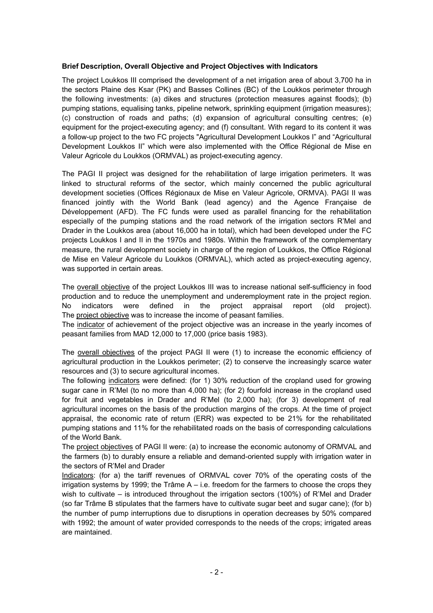## **Brief Description, Overall Objective and Project Objectives with Indicators**

The project Loukkos III comprised the development of a net irrigation area of about 3,700 ha in the sectors Plaine des Ksar (PK) and Basses Collines (BC) of the Loukkos perimeter through the following investments: (a) dikes and structures (protection measures against floods); (b) pumping stations, equalising tanks, pipeline network, sprinkling equipment (irrigation measures); (c) construction of roads and paths; (d) expansion of agricultural consulting centres; (e) equipment for the project-executing agency; and (f) consultant. With regard to its content it was a follow-up project to the two FC projects "Agricultural Development Loukkos I" and "Agricultural Development Loukkos II" which were also implemented with the Office Régional de Mise en Valeur Agricole du Loukkos (ORMVAL) as project-executing agency.

The PAGI II project was designed for the rehabilitation of large irrigation perimeters. It was linked to structural reforms of the sector, which mainly concerned the public agricultural development societies (Offices Régionaux de Mise en Valeur Agricole, ORMVA). PAGI II was financed jointly with the World Bank (lead agency) and the Agence Française de Développement (AFD). The FC funds were used as parallel financing for the rehabilitation especially of the pumping stations and the road network of the irrigation sectors R'Mel and Drader in the Loukkos area (about 16,000 ha in total), which had been developed under the FC projects Loukkos I and II in the 1970s and 1980s. Within the framework of the complementary measure, the rural development society in charge of the region of Loukkos, the Office Régional de Mise en Valeur Agricole du Loukkos (ORMVAL), which acted as project-executing agency, was supported in certain areas.

The overall objective of the project Loukkos III was to increase national self-sufficiency in food production and to reduce the unemployment and underemployment rate in the project region. No indicators were defined in the project appraisal report (old project). The project objective was to increase the income of peasant families.

The indicator of achievement of the project objective was an increase in the yearly incomes of peasant families from MAD 12,000 to 17,000 (price basis 1983).

The overall objectives of the project PAGI II were (1) to increase the economic efficiency of agricultural production in the Loukkos perimeter; (2) to conserve the increasingly scarce water resources and (3) to secure agricultural incomes.

The following indicators were defined: (for 1) 30% reduction of the cropland used for growing sugar cane in R'Mel (to no more than 4,000 ha); (for 2) fourfold increase in the cropland used for fruit and vegetables in Drader and R'Mel (to 2,000 ha); (for 3) development of real agricultural incomes on the basis of the production margins of the crops. At the time of project appraisal, the economic rate of return (ERR) was expected to be 21% for the rehabilitated pumping stations and 11% for the rehabilitated roads on the basis of corresponding calculations of the World Bank.

The project objectives of PAGI II were: (a) to increase the economic autonomy of ORMVAL and the farmers (b) to durably ensure a reliable and demand-oriented supply with irrigation water in the sectors of R'Mel and Drader

Indicators: (for a) the tariff revenues of ORMVAL cover 70% of the operating costs of the irrigation systems by 1999; the Trâme  $A - i.e.$  freedom for the farmers to choose the crops they wish to cultivate – is introduced throughout the irrigation sectors (100%) of R'Mel and Drader (so far Trâme B stipulates that the farmers have to cultivate sugar beet and sugar cane); (for b) the number of pump interruptions due to disruptions in operation decreases by 50% compared with 1992; the amount of water provided corresponds to the needs of the crops; irrigated areas are maintained.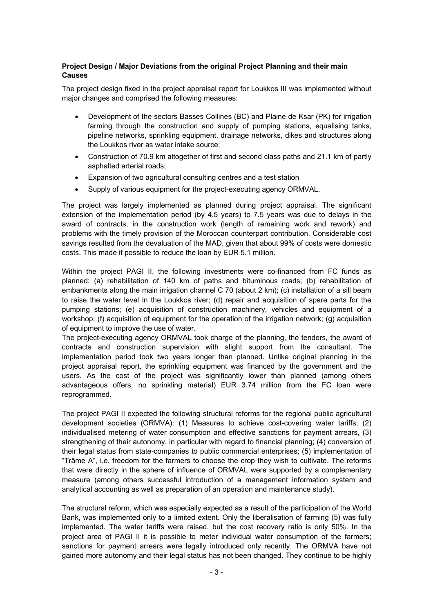## **Project Design / Major Deviations from the original Project Planning and their main Causes**

The project design fixed in the project appraisal report for Loukkos III was implemented without major changes and comprised the following measures:

- Development of the sectors Basses Collines (BC) and Plaine de Ksar (PK) for irrigation farming through the construction and supply of pumping stations, equalising tanks, pipeline networks, sprinkling equipment, drainage networks, dikes and structures along the Loukkos river as water intake source;
- Construction of 70.9 km altogether of first and second class paths and 21.1 km of partly asphalted arterial roads;
- Expansion of two agricultural consulting centres and a test station
- Supply of various equipment for the project-executing agency ORMVAL.

The project was largely implemented as planned during project appraisal. The significant extension of the implementation period (by 4.5 years) to 7.5 years was due to delays in the award of contracts, in the construction work (length of remaining work and rework) and problems with the timely provision of the Moroccan counterpart contribution. Considerable cost savings resulted from the devaluation of the MAD, given that about 99% of costs were domestic costs. This made it possible to reduce the loan by EUR 5.1 million.

Within the project PAGI II, the following investments were co-financed from FC funds as planned: (a) rehabilitation of 140 km of paths and bituminous roads; (b) rehabilitation of embankments along the main irrigation channel C 70 (about 2 km); (c) installation of a sill beam to raise the water level in the Loukkos river; (d) repair and acquisition of spare parts for the pumping stations; (e) acquisition of construction machinery, vehicles and equipment of a workshop; (f) acquisition of equipment for the operation of the irrigation network; (g) acquisition of equipment to improve the use of water.

The project-executing agency ORMVAL took charge of the planning, the tenders, the award of contracts and construction supervision with slight support from the consultant. The implementation period took two years longer than planned. Unlike original planning in the project appraisal report, the sprinkling equipment was financed by the government and the users. As the cost of the project was significantly lower than planned (among others advantageous offers, no sprinkling material) EUR 3.74 million from the FC loan were reprogrammed.

The project PAGI II expected the following structural reforms for the regional public agricultural development societies (ORMVA): (1) Measures to achieve cost-covering water tariffs; (2) individualised metering of water consumption and effective sanctions for payment arrears, (3) strengthening of their autonomy, in particular with regard to financial planning; (4) conversion of their legal status from state-companies to public commercial enterprises; (5) implementation of "Trâme A", i.e. freedom for the farmers to choose the crop they wish to cultivate. The reforms that were directly in the sphere of influence of ORMVAL were supported by a complementary measure (among others successful introduction of a management information system and analytical accounting as well as preparation of an operation and maintenance study).

The structural reform, which was especially expected as a result of the participation of the World Bank, was implemented only to a limited extent. Only the liberalisation of farming (5) was fully implemented. The water tariffs were raised, but the cost recovery ratio is only 50%. In the project area of PAGI II it is possible to meter individual water consumption of the farmers; sanctions for payment arrears were legally introduced only recently. The ORMVA have not gained more autonomy and their legal status has not been changed. They continue to be highly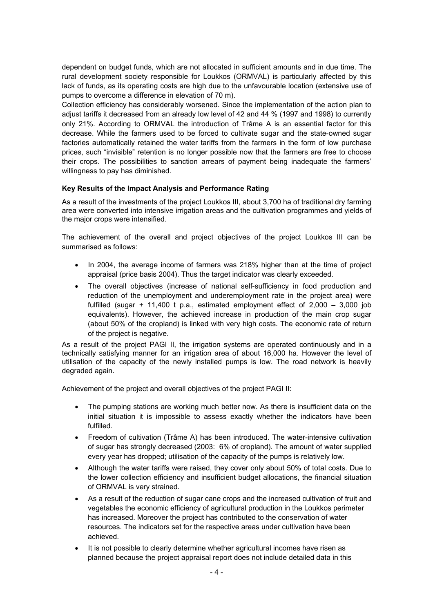dependent on budget funds, which are not allocated in sufficient amounts and in due time. The rural development society responsible for Loukkos (ORMVAL) is particularly affected by this lack of funds, as its operating costs are high due to the unfavourable location (extensive use of pumps to overcome a difference in elevation of 70 m).

Collection efficiency has considerably worsened. Since the implementation of the action plan to adjust tariffs it decreased from an already low level of 42 and 44 % (1997 and 1998) to currently only 21%. According to ORMVAL the introduction of Trâme A is an essential factor for this decrease. While the farmers used to be forced to cultivate sugar and the state-owned sugar factories automatically retained the water tariffs from the farmers in the form of low purchase prices, such "invisible" retention is no longer possible now that the farmers are free to choose their crops. The possibilities to sanction arrears of payment being inadequate the farmers' willingness to pay has diminished.

# **Key Results of the Impact Analysis and Performance Rating**

As a result of the investments of the project Loukkos III, about 3,700 ha of traditional dry farming area were converted into intensive irrigation areas and the cultivation programmes and yields of the major crops were intensified.

The achievement of the overall and project objectives of the project Loukkos III can be summarised as follows:

- In 2004, the average income of farmers was 218% higher than at the time of project appraisal (price basis 2004). Thus the target indicator was clearly exceeded.
- The overall objectives (increase of national self-sufficiency in food production and reduction of the unemployment and underemployment rate in the project area) were fulfilled (sugar  $+$  11,400 t p.a., estimated employment effect of 2,000 – 3,000 job equivalents). However, the achieved increase in production of the main crop sugar (about 50% of the cropland) is linked with very high costs. The economic rate of return of the project is negative.

As a result of the project PAGI II, the irrigation systems are operated continuously and in a technically satisfying manner for an irrigation area of about 16,000 ha. However the level of utilisation of the capacity of the newly installed pumps is low. The road network is heavily degraded again.

Achievement of the project and overall objectives of the project PAGI II:

- The pumping stations are working much better now. As there is insufficient data on the initial situation it is impossible to assess exactly whether the indicators have been fulfilled.
- Freedom of cultivation (Trâme A) has been introduced. The water-intensive cultivation of sugar has strongly decreased (2003: 6% of cropland). The amount of water supplied every year has dropped; utilisation of the capacity of the pumps is relatively low.
- Although the water tariffs were raised, they cover only about 50% of total costs. Due to the lower collection efficiency and insufficient budget allocations, the financial situation of ORMVAL is very strained.
- As a result of the reduction of sugar cane crops and the increased cultivation of fruit and vegetables the economic efficiency of agricultural production in the Loukkos perimeter has increased. Moreover the project has contributed to the conservation of water resources. The indicators set for the respective areas under cultivation have been achieved.
- It is not possible to clearly determine whether agricultural incomes have risen as planned because the project appraisal report does not include detailed data in this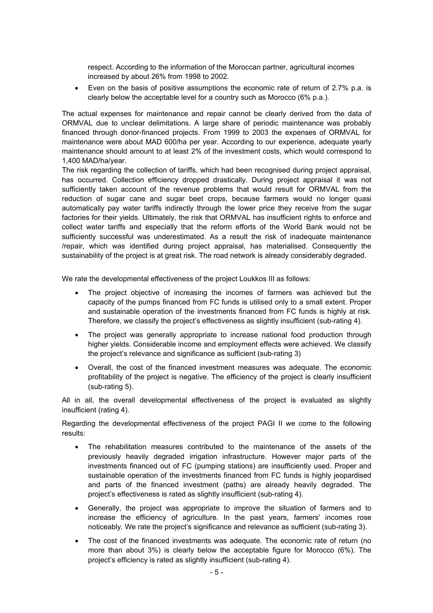respect. According to the information of the Moroccan partner, agricultural incomes increased by about 26% from 1998 to 2002.

• Even on the basis of positive assumptions the economic rate of return of 2.7% p.a. is clearly below the acceptable level for a country such as Morocco (6% p.a.).

The actual expenses for maintenance and repair cannot be clearly derived from the data of ORMVAL due to unclear delimitations. A large share of periodic maintenance was probably financed through donor-financed projects. From 1999 to 2003 the expenses of ORMVAL for maintenance were about MAD 600/ha per year. According to our experience, adequate yearly maintenance should amount to at least 2% of the investment costs, which would correspond to 1,400 MAD/ha/year.

The risk regarding the collection of tariffs, which had been recognised during project appraisal, has occurred. Collection efficiency dropped drastically. During project appraisal it was not sufficiently taken account of the revenue problems that would result for ORMVAL from the reduction of sugar cane and sugar beet crops, because farmers would no longer quasi automatically pay water tariffs indirectly through the lower price they receive from the sugar factories for their yields. Ultimately, the risk that ORMVAL has insufficient rights to enforce and collect water tariffs and especially that the reform efforts of the World Bank would not be sufficiently successful was underestimated. As a result the risk of inadequate maintenance /repair, which was identified during project appraisal, has materialised. Consequently the sustainability of the project is at great risk. The road network is already considerably degraded.

We rate the developmental effectiveness of the project Loukkos III as follows:

- The project objective of increasing the incomes of farmers was achieved but the capacity of the pumps financed from FC funds is utilised only to a small extent. Proper and sustainable operation of the investments financed from FC funds is highly at risk. Therefore, we classify the project's effectiveness as slightly insufficient (sub-rating 4).
- The project was generally appropriate to increase national food production through higher yields. Considerable income and employment effects were achieved. We classify the project's relevance and significance as sufficient (sub-rating 3)
- Overall, the cost of the financed investment measures was adequate. The economic profitability of the project is negative. The efficiency of the project is clearly insufficient (sub-rating 5).

All in all, the overall developmental effectiveness of the project is evaluated as slightly insufficient (rating 4).

Regarding the developmental effectiveness of the project PAGI II we come to the following results:

- The rehabilitation measures contributed to the maintenance of the assets of the previously heavily degraded irrigation infrastructure. However major parts of the investments financed out of FC (pumping stations) are insufficiently used. Proper and sustainable operation of the investments financed from FC funds is highly jeopardised and parts of the financed investment (paths) are already heavily degraded. The project's effectiveness is rated as slightly insufficient (sub-rating 4).
- Generally, the project was appropriate to improve the situation of farmers and to increase the efficiency of agriculture. In the past years, farmers' incomes rose noticeably. We rate the project's significance and relevance as sufficient (sub-rating 3).
- The cost of the financed investments was adequate. The economic rate of return (no more than about 3%) is clearly below the acceptable figure for Morocco (6%). The project's efficiency is rated as slightly insufficient (sub-rating 4).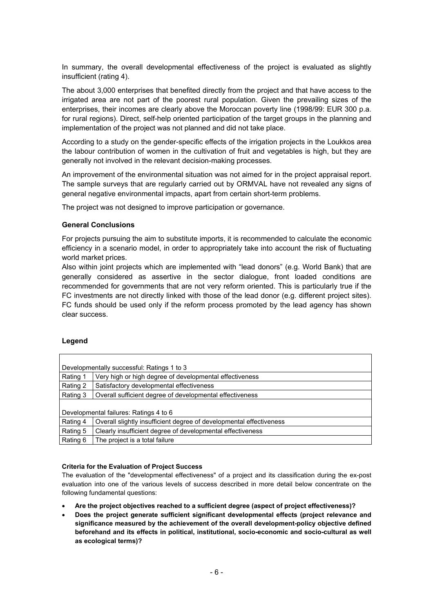In summary, the overall developmental effectiveness of the project is evaluated as slightly insufficient (rating 4).

The about 3,000 enterprises that benefited directly from the project and that have access to the irrigated area are not part of the poorest rural population. Given the prevailing sizes of the enterprises, their incomes are clearly above the Moroccan poverty line (1998/99: EUR 300 p.a. for rural regions). Direct, self-help oriented participation of the target groups in the planning and implementation of the project was not planned and did not take place.

According to a study on the gender-specific effects of the irrigation projects in the Loukkos area the labour contribution of women in the cultivation of fruit and vegetables is high, but they are generally not involved in the relevant decision-making processes.

An improvement of the environmental situation was not aimed for in the project appraisal report. The sample surveys that are regularly carried out by ORMVAL have not revealed any signs of general negative environmental impacts, apart from certain short-term problems.

The project was not designed to improve participation or governance.

## **General Conclusions**

For projects pursuing the aim to substitute imports, it is recommended to calculate the economic efficiency in a scenario model, in order to appropriately take into account the risk of fluctuating world market prices.

Also within joint projects which are implemented with "lead donors" (e.g. World Bank) that are generally considered as assertive in the sector dialogue, front loaded conditions are recommended for governments that are not very reform oriented. This is particularly true if the FC investments are not directly linked with those of the lead donor (e.g. different project sites). FC funds should be used only if the reform process promoted by the lead agency has shown clear success.

## **Legend**

| Developmentally successful: Ratings 1 to 3 |                                                                     |  |
|--------------------------------------------|---------------------------------------------------------------------|--|
| Rating 1                                   | Very high or high degree of developmental effectiveness             |  |
| Rating 2                                   | Satisfactory developmental effectiveness                            |  |
| Rating 3                                   | Overall sufficient degree of developmental effectiveness            |  |
|                                            |                                                                     |  |
| Developmental failures: Ratings 4 to 6     |                                                                     |  |
| Rating 4                                   | Overall slightly insufficient degree of developmental effectiveness |  |
| Rating 5                                   | Clearly insufficient degree of developmental effectiveness          |  |
| Rating 6                                   | The project is a total failure                                      |  |

#### **Criteria for the Evaluation of Project Success**

The evaluation of the "developmental effectiveness" of a project and its classification during the ex-post evaluation into one of the various levels of success described in more detail below concentrate on the following fundamental questions:

- **Are the project objectives reached to a sufficient degree (aspect of project effectiveness)?**
- **Does the project generate sufficient significant developmental effects (project relevance and significance measured by the achievement of the overall development-policy objective defined beforehand and its effects in political, institutional, socio-economic and socio-cultural as well as ecological terms)?**